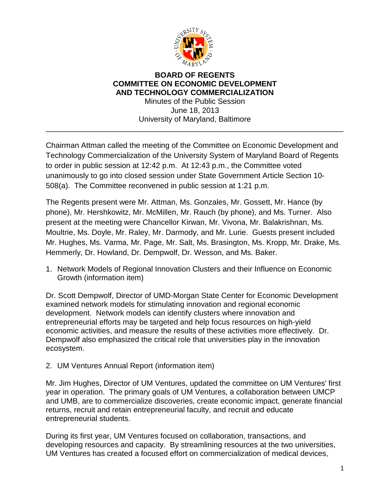

## **BOARD OF REGENTS COMMITTEE ON ECONOMIC DEVELOPMENT AND TECHNOLOGY COMMERCIALIZATION**

Minutes of the Public Session June 18, 2013 University of Maryland, Baltimore

\_\_\_\_\_\_\_\_\_\_\_\_\_\_\_\_\_\_\_\_\_\_\_\_\_\_\_\_\_\_\_\_\_\_\_\_\_\_\_\_\_\_\_\_\_\_\_\_\_\_\_\_\_\_\_\_\_\_\_\_\_\_\_\_\_\_\_\_\_\_

Chairman Attman called the meeting of the Committee on Economic Development and Technology Commercialization of the University System of Maryland Board of Regents to order in public session at 12:42 p.m. At 12:43 p.m., the Committee voted unanimously to go into closed session under State Government Article Section 10- 508(a). The Committee reconvened in public session at 1:21 p.m.

The Regents present were Mr. Attman, Ms. Gonzales, Mr. Gossett, Mr. Hance (by phone), Mr. Hershkowitz, Mr. McMillen, Mr. Rauch (by phone), and Ms. Turner. Also present at the meeting were Chancellor Kirwan, Mr. Vivona, Mr. Balakrishnan, Ms. Moultrie, Ms. Doyle, Mr. Raley, Mr. Darmody, and Mr. Lurie. Guests present included Mr. Hughes, Ms. Varma, Mr. Page, Mr. Salt, Ms. Brasington, Ms. Kropp, Mr. Drake, Ms. Hemmerly, Dr. Howland, Dr. Dempwolf, Dr. Wesson, and Ms. Baker.

1. Network Models of Regional Innovation Clusters and their Influence on Economic Growth (information item)

Dr. Scott Dempwolf, Director of UMD-Morgan State Center for Economic Development examined network models for stimulating innovation and regional economic development. Network models can identify clusters where innovation and entrepreneurial efforts may be targeted and help focus resources on high‐yield economic activities, and measure the results of these activities more effectively. Dr. Dempwolf also emphasized the critical role that universities play in the innovation ecosystem.

2. UM Ventures Annual Report (information item)

Mr. Jim Hughes, Director of UM Ventures, updated the committee on UM Ventures' first year in operation. The primary goals of UM Ventures, a collaboration between UMCP and UMB, are to commercialize discoveries, create economic impact, generate financial returns, recruit and retain entrepreneurial faculty, and recruit and educate entrepreneurial students.

During its first year, UM Ventures focused on collaboration, transactions, and developing resources and capacity. By streamlining resources at the two universities, UM Ventures has created a focused effort on commercialization of medical devices,